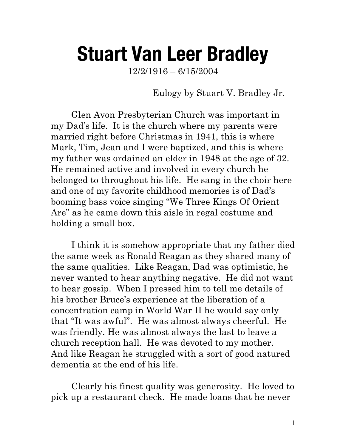## **Stuart Van Leer Bradley**

12/2/1916 – 6/15/2004

Eulogy by Stuart V. Bradley Jr.

Glen Avon Presbyterian Church was important in my Dad's life. It is the church where my parents were married right before Christmas in 1941, this is where Mark, Tim, Jean and I were baptized, and this is where my father was ordained an elder in 1948 at the age of 32. He remained active and involved in every church he belonged to throughout his life. He sang in the choir here and one of my favorite childhood memories is of Dad's booming bass voice singing "We Three Kings Of Orient Are" as he came down this aisle in regal costume and holding a small box.

I think it is somehow appropriate that my father died the same week as Ronald Reagan as they shared many of the same qualities. Like Reagan, Dad was optimistic, he never wanted to hear anything negative. He did not want to hear gossip. When I pressed him to tell me details of his brother Bruce's experience at the liberation of a concentration camp in World War II he would say only that "It was awful". He was almost always cheerful. He was friendly. He was almost always the last to leave a church reception hall. He was devoted to my mother. And like Reagan he struggled with a sort of good natured dementia at the end of his life.

Clearly his finest quality was generosity. He loved to pick up a restaurant check. He made loans that he never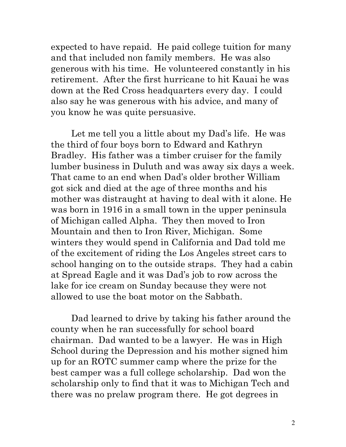expected to have repaid. He paid college tuition for many and that included non family members. He was also generous with his time. He volunteered constantly in his retirement. After the first hurricane to hit Kauai he was down at the Red Cross headquarters every day. I could also say he was generous with his advice, and many of you know he was quite persuasive.

Let me tell you a little about my Dad's life. He was the third of four boys born to Edward and Kathryn Bradley. His father was a timber cruiser for the family lumber business in Duluth and was away six days a week. That came to an end when Dad's older brother William got sick and died at the age of three months and his mother was distraught at having to deal with it alone. He was born in 1916 in a small town in the upper peninsula of Michigan called Alpha. They then moved to Iron Mountain and then to Iron River, Michigan. Some winters they would spend in California and Dad told me of the excitement of riding the Los Angeles street cars to school hanging on to the outside straps. They had a cabin at Spread Eagle and it was Dad's job to row across the lake for ice cream on Sunday because they were not allowed to use the boat motor on the Sabbath.

Dad learned to drive by taking his father around the county when he ran successfully for school board chairman. Dad wanted to be a lawyer. He was in High School during the Depression and his mother signed him up for an ROTC summer camp where the prize for the best camper was a full college scholarship. Dad won the scholarship only to find that it was to Michigan Tech and there was no prelaw program there. He got degrees in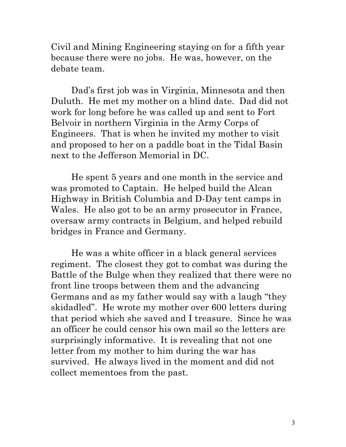Civil and Mining Engineering staying on for a fifth year because there were no jobs. He was, however, on the debate team.

Dad's first job was in Virginia, Minnesota and then Duluth. He met my mother on a blind date. Dad did not work for long before he was called up and sent to Fort Belvoir in northern Virginia in the Army Corps of Engineers. That is when he invited my mother to visit and proposed to her on a paddle boat in the Tidal Basin next to the Jefferson Memorial in DC.

He spent 5 years and one month in the service and was promoted to Captain. He helped build the Alcan Highway in British Columbia and D-Day tent camps in Wales. He also got to be an army prosecutor in France, oversaw army contracts in Belgium, and helped rebuild bridges in France and Germany.

He was a white officer in a black general services regiment. The closest they got to combat was during the Battle of the Bulge when they realized that there were no front line troops between them and the advancing Germans and as my father would say with a laugh "they skidadled". He wrote my mother over 600 letters during that period which she saved and I treasure. Since he was an officer he could censor his own mail so the letters are surprisingly informative. It is revealing that not one letter from my mother to him during the war has survived. He always lived in the moment and did not collect mementoes from the past.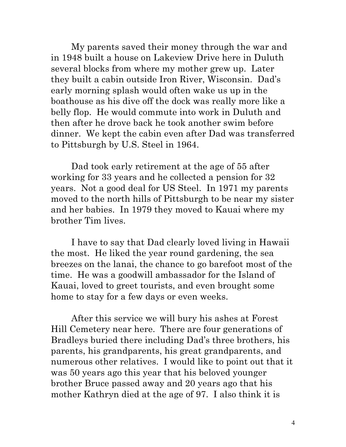My parents saved their money through the war and in 1948 built a house on Lakeview Drive here in Duluth several blocks from where my mother grew up. Later they built a cabin outside Iron River, Wisconsin. Dad's early morning splash would often wake us up in the boathouse as his dive off the dock was really more like a belly flop. He would commute into work in Duluth and then after he drove back he took another swim before dinner. We kept the cabin even after Dad was transferred to Pittsburgh by U.S. Steel in 1964.

Dad took early retirement at the age of 55 after working for 33 years and he collected a pension for 32 years. Not a good deal for US Steel. In 1971 my parents moved to the north hills of Pittsburgh to be near my sister and her babies. In 1979 they moved to Kauai where my brother Tim lives.

I have to say that Dad clearly loved living in Hawaii the most. He liked the year round gardening, the sea breezes on the lanai, the chance to go barefoot most of the time. He was a goodwill ambassador for the Island of Kauai, loved to greet tourists, and even brought some home to stay for a few days or even weeks.

After this service we will bury his ashes at Forest Hill Cemetery near here. There are four generations of Bradleys buried there including Dad's three brothers, his parents, his grandparents, his great grandparents, and numerous other relatives. I would like to point out that it was 50 years ago this year that his beloved younger brother Bruce passed away and 20 years ago that his mother Kathryn died at the age of 97. I also think it is